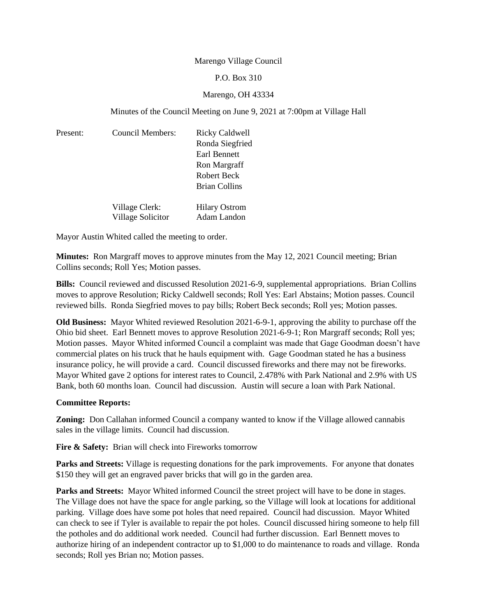### Marengo Village Council

### P.O. Box 310

# Marengo, OH 43334

## Minutes of the Council Meeting on June 9, 2021 at 7:00pm at Village Hall

| Present: | Council Members:                    | Ricky Caldwell<br>Ronda Siegfried<br>Earl Bennett<br>Ron Margraff |
|----------|-------------------------------------|-------------------------------------------------------------------|
|          |                                     | Robert Beck                                                       |
|          |                                     | Brian Collins                                                     |
|          | Village Clerk:<br>Village Solicitor | <b>Hilary Ostrom</b><br>Adam Landon                               |

Mayor Austin Whited called the meeting to order.

**Minutes:** Ron Margraff moves to approve minutes from the May 12, 2021 Council meeting; Brian Collins seconds; Roll Yes; Motion passes.

**Bills:** Council reviewed and discussed Resolution 2021-6-9, supplemental appropriations. Brian Collins moves to approve Resolution; Ricky Caldwell seconds; Roll Yes: Earl Abstains; Motion passes. Council reviewed bills. Ronda Siegfried moves to pay bills; Robert Beck seconds; Roll yes; Motion passes.

**Old Business:** Mayor Whited reviewed Resolution 2021-6-9-1, approving the ability to purchase off the Ohio bid sheet. Earl Bennett moves to approve Resolution 2021-6-9-1; Ron Margraff seconds; Roll yes; Motion passes. Mayor Whited informed Council a complaint was made that Gage Goodman doesn't have commercial plates on his truck that he hauls equipment with. Gage Goodman stated he has a business insurance policy, he will provide a card. Council discussed fireworks and there may not be fireworks. Mayor Whited gave 2 options for interest rates to Council, 2.478% with Park National and 2.9% with US Bank, both 60 months loan. Council had discussion. Austin will secure a loan with Park National.

### **Committee Reports:**

**Zoning:** Don Callahan informed Council a company wanted to know if the Village allowed cannabis sales in the village limits. Council had discussion.

Fire & Safety: Brian will check into Fireworks tomorrow

**Parks and Streets:** Village is requesting donations for the park improvements. For anyone that donates \$150 they will get an engraved paver bricks that will go in the garden area.

**Parks and Streets:** Mayor Whited informed Council the street project will have to be done in stages. The Village does not have the space for angle parking, so the Village will look at locations for additional parking. Village does have some pot holes that need repaired. Council had discussion. Mayor Whited can check to see if Tyler is available to repair the pot holes. Council discussed hiring someone to help fill the potholes and do additional work needed. Council had further discussion. Earl Bennett moves to authorize hiring of an independent contractor up to \$1,000 to do maintenance to roads and village. Ronda seconds; Roll yes Brian no; Motion passes.